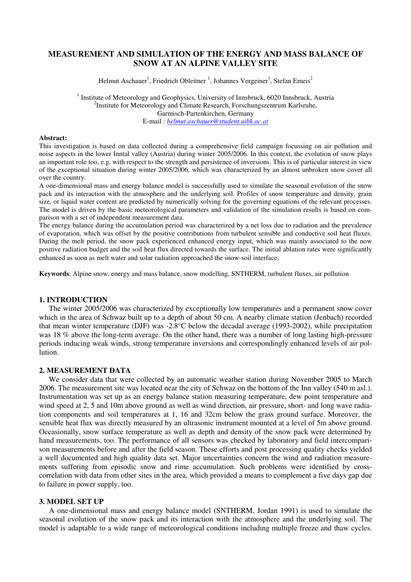# **MEASUREMENT AND SIMULATION OF THE ENERGY AND MASS BALANCE OF SNOW AT AN ALPINE VALLEY SITE**

Helmut Aschauer<sup>1</sup>, Friedrich Obleitner <sup>1</sup>, Johannes Vergeiner<sup>1</sup>, Stefan Emeis<sup>2</sup>

<sup>1</sup> Institute of Meteorology and Geophysics, University of Innsbruck, 6020 Innsbruck, Austria <sup>2</sup>Institute for Meteorology and Climate Research, Forschungszentrum Karlsruhe, Garmisch-Partenkirchen, Germany E-mail : *helmut.aschauer@student.uibk.ac.at*

#### **Abstract:**

This investigation is based on data collected during a comprehensive field campaign focussing on air pollution and noise aspects in the lower Inntal valley (Austria) during winter 2005/2006. In this context, the evolution of snow plays an important role too, e.g. with respect to the strength and persistence of inversions. This is of particular interest in view of the exceptional situation during winter 2005/2006, which was characterized by an almost unbroken snow cover all over the country.

A one-dimensional mass and energy balance model is successfully used to simulate the seasonal evolution of the snow pack and its interaction with the atmosphere and the underlying soil. Profiles of snow temperature and density, grain size, or liquid water content are predicted by numerically solving for the governing equations of the relevant processes. The model is driven by the basic meteorological parameters and validation of the simulation results is based on comparison with a set of independent measurement data.

The energy balance during the accumulation period was characterized by a net loss due to radiation and the prevalence of evaporation, which was offset by the positive contributions from turbulent sensible and conductive soil heat fluxes. During the melt period, the snow pack experienced enhanced energy input, which was mainly associated to the now positive radiation budget and the soil heat flux directed towards the surface. The initial ablation rates were significantly enhanced as soon as melt water and solar radiation approached the snow-soil interface.

**Keywords**: Alpine snow, energy and mass balance, snow modelling, SNTHERM, turbulent fluxes, air pollution

## **1. INTRODUCTION**

The winter 2005/2006 was characterized by exceptionally low temperatures and a permanent snow cover which in the area of Schwaz built up to a depth of about 50 cm. A nearby climate station (Jenbach) recorded that mean winter temperature (DJF) was -2.8°C below the decadal average (1993-2002), while precipitation was 18 % above the long-term average. On the other hand, there was a number of long lasting high-pressure periods inducing weak winds, strong temperature inversions and correspondingly enhanced levels of air pollution.

#### **2. MEASUREMENT DATA**

We consider data that were collected by an automatic weather station during November 2005 to March 2006. The measurement site was located near the city of Schwaz on the bottom of the Inn valley (540 m asl.). Instrumentation was set up as an energy balance station measuring temperature, dew point temperature and wind speed at 2, 5 and 10m above ground as well as wind direction, air pressure, short- and long wave radiation components and soil temperatures at 1, 16 and 32cm below the grass ground surface. Moreover, the sensible heat flux was directly measured by an ultrasonic instrument mounted at a level of 5m above ground. Occasionally, snow surface temperature as well as depth and density of the snow pack were determined by hand measurements, too. The performance of all sensors was checked by laboratory and field intercomparison measurements before and after the field season. These efforts and post processing quality checks yielded a well documented and high quality data set. Major uncertainties concern the wind and radiation measurements suffering from episodic snow and rime accumulation. Such problems were identified by crosscorrelation with data from other sites in the area, which provided a means to complement a five days gap due to failure in power supply, too.

### **3. MODEL SET UP**

A one-dimensional mass and energy balance model (SNTHERM, Jordan 1991) is used to simulate the seasonal evolution of the snow pack and its interaction with the atmosphere and the underlying soil. The model is adaptable to a wide range of meteorological conditions including multiple freeze and thaw cycles.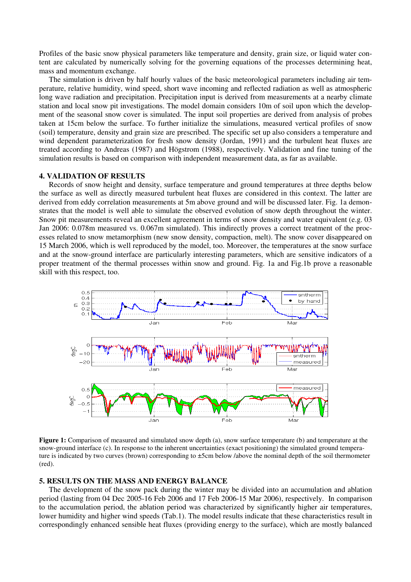Profiles of the basic snow physical parameters like temperature and density, grain size, or liquid water content are calculated by numerically solving for the governing equations of the processes determining heat, mass and momentum exchange.

The simulation is driven by half hourly values of the basic meteorological parameters including air temperature, relative humidity, wind speed, short wave incoming and reflected radiation as well as atmospheric long wave radiation and precipitation. Precipitation input is derived from measurements at a nearby climate station and local snow pit investigations. The model domain considers 10m of soil upon which the development of the seasonal snow cover is simulated. The input soil properties are derived from analysis of probes taken at 15cm below the surface. To further initialize the simulations, measured vertical profiles of snow (soil) temperature, density and grain size are prescribed. The specific set up also considers a temperature and wind dependent parameterization for fresh snow density (Jordan, 1991) and the turbulent heat fluxes are treated according to Andreas (1987) and Högstrom (1988), respectively. Validation and fine tuning of the simulation results is based on comparison with independent measurement data, as far as available.

## **4. VALIDATION OF RESULTS**

Records of snow height and density, surface temperature and ground temperatures at three depths below the surface as well as directly measured turbulent heat fluxes are considered in this context. The latter are derived from eddy correlation measurements at 5m above ground and will be discussed later. Fig. 1a demonstrates that the model is well able to simulate the observed evolution of snow depth throughout the winter. Snow pit measurements reveal an excellent agreement in terms of snow density and water equivalent (e.g. 03 Jan 2006: 0.078m measured vs. 0.067m simulated). This indirectly proves a correct treatment of the processes related to snow metamorphism (new snow density, compaction, melt). The snow cover disappeared on 15 March 2006, which is well reproduced by the model, too. Moreover, the temperatures at the snow surface and at the snow-ground interface are particularly interesting parameters, which are sensitive indicators of a proper treatment of the thermal processes within snow and ground. Fig. 1a and Fig.1b prove a reasonable skill with this respect, too.



**Figure 1:** Comparison of measured and simulated snow depth (a), snow surface temperature (b) and temperature at the snow-ground interface (c). In response to the inherent uncertainties (exact positioning) the simulated ground temperature is indicated by two curves (brown) corresponding to ±5cm below /above the nominal depth of the soil thermometer (red).

## **5. RESULTS ON THE MASS AND ENERGY BALANCE**

The development of the snow pack during the winter may be divided into an accumulation and ablation period (lasting from 04 Dec 2005-16 Feb 2006 and 17 Feb 2006-15 Mar 2006), respectively. In comparison to the accumulation period, the ablation period was characterized by significantly higher air temperatures, lower humidity and higher wind speeds (Tab.1). The model results indicate that these characteristics result in correspondingly enhanced sensible heat fluxes (providing energy to the surface), which are mostly balanced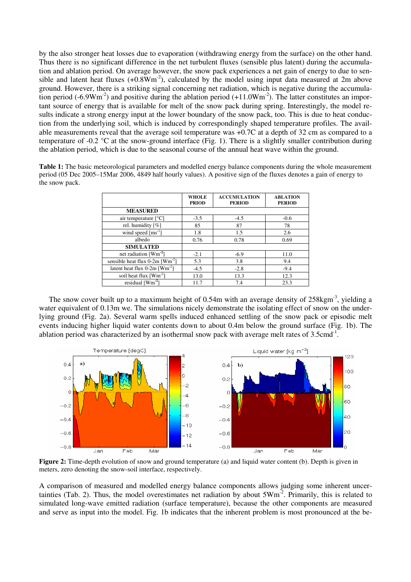by the also stronger heat losses due to evaporation (withdrawing energy from the surface) on the other hand. Thus there is no significant difference in the net turbulent fluxes (sensible plus latent) during the accumulation and ablation period. On average however, the snow pack experiences a net gain of energy to due to sensible and latent heat fluxes  $(+0.8Wm<sup>-2</sup>)$ , calculated by the model using input data measured at 2m above ground. However, there is a striking signal concerning net radiation, which is negative during the accumulation period (-6.9Wm<sup>-2</sup>) and positive during the ablation period (+11.0Wm<sup>-2</sup>). The latter constitutes an important source of energy that is available for melt of the snow pack during spring. Interestingly, the model results indicate a strong energy input at the lower boundary of the snow pack, too. This is due to heat conduction from the underlying soil, which is induced by correspondingly shaped temperature profiles. The available measurements reveal that the average soil temperature was +0.7C at a depth of 32 cm as compared to a temperature of -0.2 °C at the snow-ground interface (Fig. 1). There is a slightly smaller contribution during the ablation period, which is due to the seasonal course of the annual heat wave within the ground.

**Table 1:** The basic meteorological parameters and modelled energy balance components during the whole measurement period (05 Dec 2005–15Mar 2006, 4849 half hourly values). A positive sign of the fluxes denotes a gain of energy to the snow pack.

|                                             | <b>WHOLE</b><br><b>PRIOD</b> | <b>ACCUMULATION</b><br><b>PERIOD</b> | <b>ABLATION</b><br><b>PERIOD</b> |
|---------------------------------------------|------------------------------|--------------------------------------|----------------------------------|
| <b>MEASURED</b>                             |                              |                                      |                                  |
| air temperature $[^{\circ}C]$               | $-3.5$                       | $-4.5$                               | $-0.6$                           |
| rel. humidity [%]                           | 85                           | 87                                   | 78                               |
| wind speed $\text{[ms}^{-1}]$               | 1.8                          | 1.5                                  | 2.6                              |
| albedo                                      | 0.76                         | 0.78                                 | 0.69                             |
| <b>SIMULATED</b>                            |                              |                                      |                                  |
| net radiation [Wm <sup>-2</sup> ]           | $-2.1$                       | $-6.9$                               | 11.0                             |
| sensible heat flux 0-2m [Wm <sup>-2</sup> ] | 5.3                          | 3.8                                  | 9.4                              |
| latent heat flux $0-2m$ [Wm <sup>-2</sup> ] | $-4.5$                       | $-2.8$                               | $-9.4$                           |
| soil heat flux $[Wm^{-2}]$                  | 13.0                         | 13.3                                 | 12.3                             |
| residual $[Wm^2]$                           | 11.7                         | 7.4                                  | 23.3                             |

The snow cover built up to a maximum height of  $0.54$ m with an average density of  $258$ kgm<sup>-3</sup>, vielding a water equivalent of 0.13m we. The simulations nicely demonstrate the isolating effect of snow on the underlying ground (Fig. 2a). Several warm spells induced enhanced settling of the snow pack or episodic melt events inducing higher liquid water contents down to about 0.4m below the ground surface (Fig. 1b). The ablation period was characterized by an isothermal snow pack with average melt rates of  $3.5 \text{cm}^{-1}$ .



**Figure 2:** Time-depth evolution of snow and ground temperature (a) and liquid water content (b). Depth is given in meters, zero denoting the snow-soil interface, respectively.

A comparison of measured and modelled energy balance components allows judging some inherent uncertainties (Tab. 2). Thus, the model overestimates net radiation by about  $5Wm<sup>-2</sup>$ . Primarily, this is related to simulated long-wave emitted radiation (surface temperature), because the other components are measured and serve as input into the model. Fig. 1b indicates that the inherent problem is most pronounced at the be